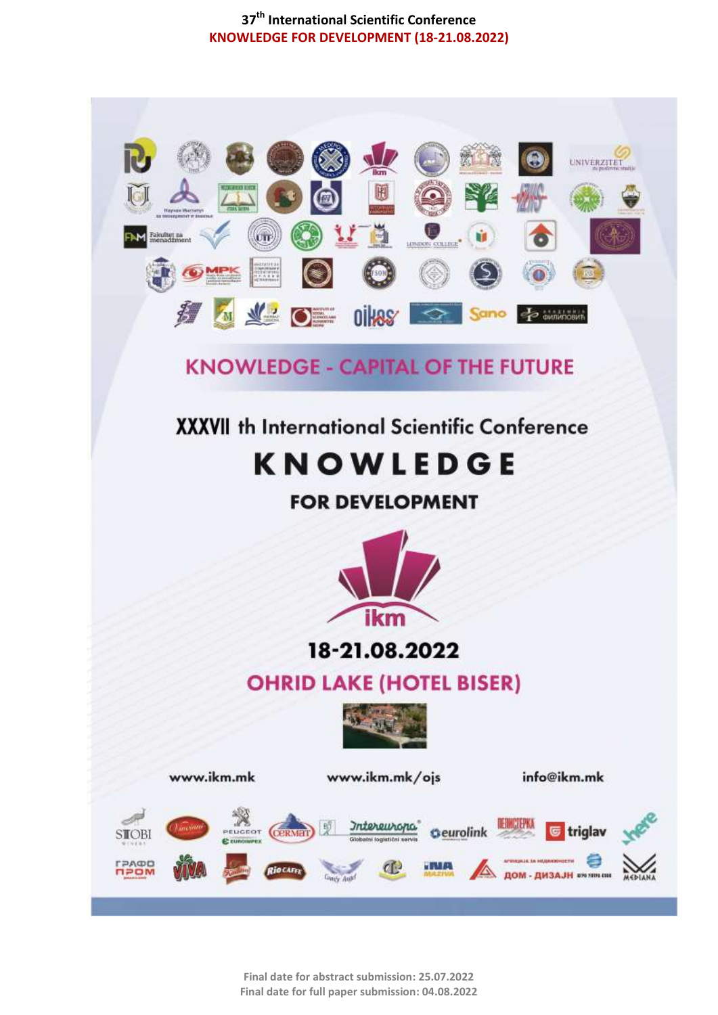

**Final date for abstract submission: 25.07.2022 Final date for full paper submission: 04.08.2022**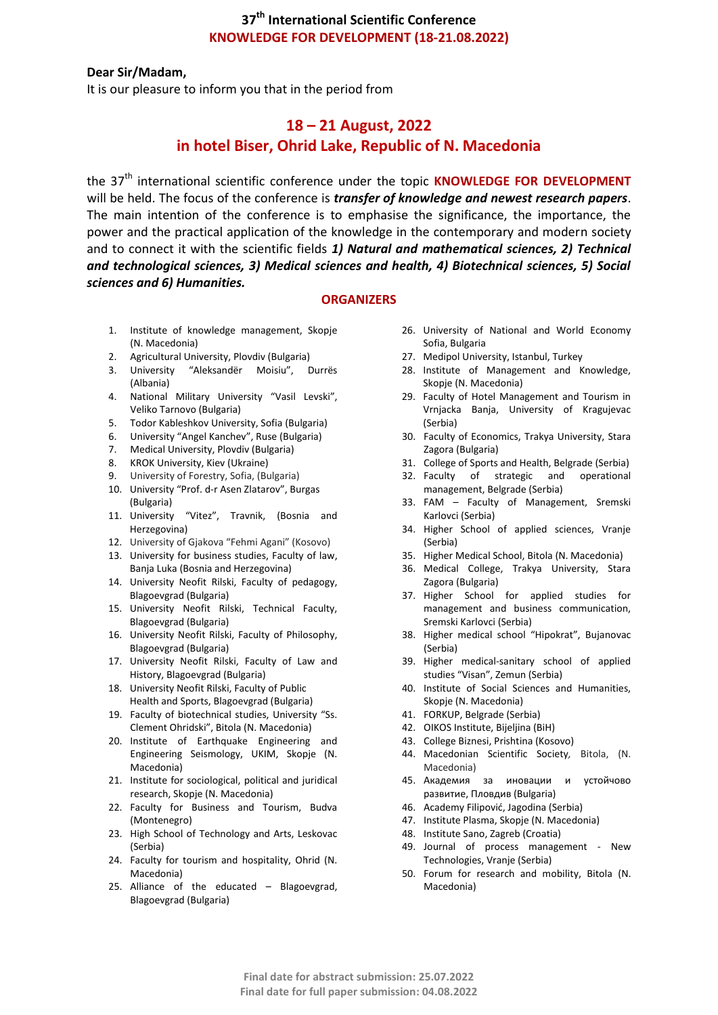#### **Dear Sir/Madam,**

It is our pleasure to inform you that in the period from

## **18 – 21 August, 2022 in hotel Biser, Ohrid Lake, Republic of N. Macedonia**

the 37<sup>th</sup> international scientific conference under the topic **KNOWLEDGE FOR DEVELOPMENT** will be held. The focus of the conference is *transfer of knowledge and newest research papers*. The main intention of the conference is to emphasise the significance, the importance, the power and the practical application of the knowledge in the contemporary and modern society and to connect it with the scientific fields *1) Natural and mathematical sciences, 2) Technical and technological sciences, 3) Medical sciences and health, 4) Biotechnical sciences, 5) Social sciences and 6) Humanities.* 

#### **ORGANIZERS**

- 1. Institute of knowledge management, Skopje (N. Macedonia)
- 
- 2. Agricultural University, Plovdiv (Bulgaria)<br>3. University "Aleksandër Moisiu", D 3. University "Aleksandër Moisiu", Durrës (Albania)
- 4. National Military University "Vasil Levski", Veliko Tarnovo (Bulgaria)
- 5. Todor Kableshkov University, Sofia (Bulgaria)
- 6. University "Angel Kanchev", Ruse (Bulgaria)
- 7. Medical University, Plovdiv (Bulgaria)
- 8. KROK University, Kiev (Ukraine)
- 9. University of Forestry, Sofia, (Bulgaria)
- 10. University "Prof. d-r Asen Zlatarov", Burgas (Bulgaria)
- 11. University "Vitez", Travnik, (Bosnia and Herzegovina)
- 12. University of Gjakova "Fehmi Agani" (Kosovo)
- 13. University for business studies, Faculty of law, Banja Luka (Bosnia and Herzegovina)
- 14. University Neofit Rilski, Faculty of pedagogy, Blagoevgrad (Bulgaria)
- 15. University Neofit Rilski, Technical Faculty, Blagoevgrad (Bulgaria)
- 16. University Neofit Rilski, Faculty of Philosophy, Blagoevgrad (Bulgaria)
- 17. University Neofit Rilski, Faculty of Law and History, Blagoevgrad (Bulgaria)
- 18. University Neofit Rilski, Faculty of Public Health and Sports, Blagoevgrad (Bulgaria)
- 19. Faculty of biotechnical studies, University "Ss. Clement Ohridski", Bitola (N. Macedonia)
- 20. Institute of Earthquake Engineering and Engineering Seismology, UKIM, Skopje (N. Macedonia)
- 21. Institute for sociological, political and juridical research, Skopje (N. Macedonia)
- 22. Faculty for Business and Tourism, Budva (Montenegro)
- 23. High School of Technology and Arts, Leskovac (Serbia)
- 24. Faculty for tourism and hospitality, Ohrid (N. Macedonia)
- 25. Alliance of the educated Blagoevgrad, Blagoevgrad (Bulgaria)
- 26. University of National and World Economy Sofia, Bulgaria
- 27. Medipol University, Istanbul, Turkey
- 28. Institute of Management and Knowledge, Skopje (N. Macedonia)
- 29. Faculty of Hotel Management and Tourism in Vrnjacka Banja, University of Kragujevac (Serbia)
- 30. Faculty of Economics, Trakya University, Stara Zagora (Bulgaria)
- 31. College of Sports and Health, Belgrade (Serbia)
- 32. Faculty of strategic and operational
- management, Belgrade (Serbia) 33. FAM – Faculty of Management, Sremski Karlovci (Serbia)
- 34. Higher School of applied sciences, Vranje (Serbia)
- 35. Higher Medical School, Bitola (N. Macedonia)
- 36. Medical College, Trakya University, Stara Zagora (Bulgaria)
- 37. Higher School for applied studies for management and business communication, Sremski Karlovci (Serbia)
- 38. Higher medical school "Hipokrat", Bujanovac (Serbia)
- 39. Higher medical-sanitary school of applied studies "Visan", Zemun (Serbia)
- 40. Institute of Social Sciences and Humanities, Skopje (N. Macedonia)
- 41. FORKUP, Belgrade (Serbia)
- 42. OIKOS Institute, Bijeljina (BiH)
- 43. College Biznesi, Prishtina (Kosovo)
- 44. Macedonian Scientific Society*,* Bitola, (N. Macedonia)
- 45. Академия за иновации и устойчово развитие, Пловдив (Bulgaria)
- 46. Academy Filipović, Jagodina (Serbia)
- 47. Institute Plasma, Skopje (N. Macedonia)
- 48. Institute Sano, Zagreb (Croatia)
- 49. Journal of process management New Technologies, Vranje (Serbia)
- 50. Forum for research and mobility, Bitola (N. Macedonia)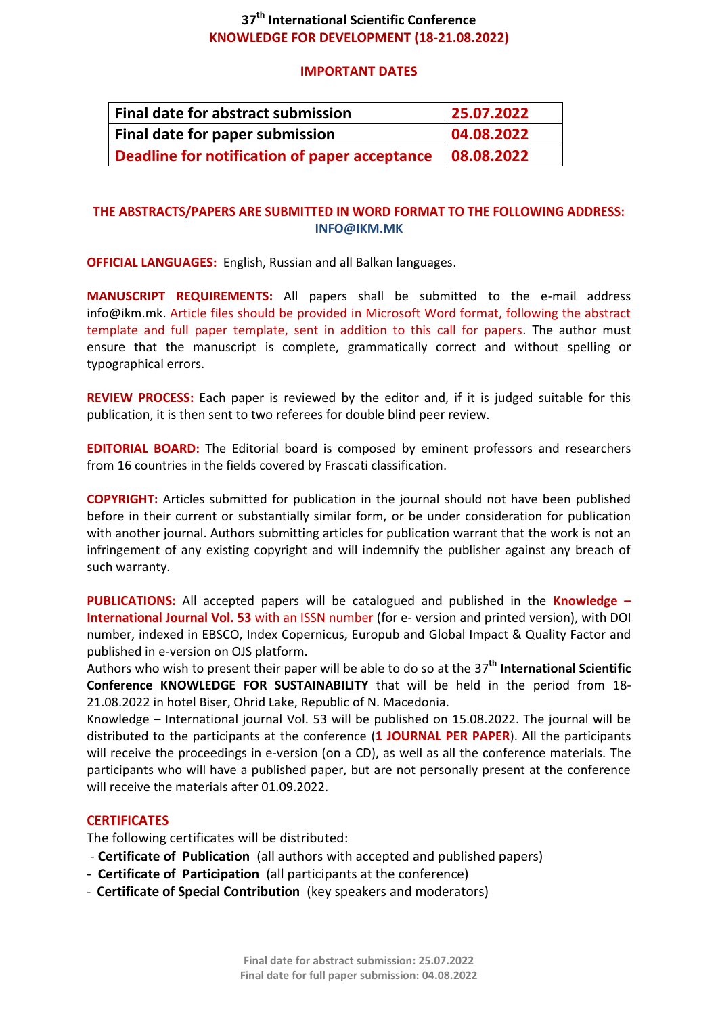### **IMPORTANT DATES**

| Final date for abstract submission                         | 25.07.2022 |
|------------------------------------------------------------|------------|
| Final date for paper submission                            | 04.08.2022 |
| Deadline for notification of paper acceptance   08.08.2022 |            |

## **THE ABSTRACTS/PAPERS ARE SUBMITTED IN WORD FORMAT TO THE FOLLOWING ADDRESS: INFO@IKM.MK**

**OFFICIAL LANGUAGES:** English, Russian and all Balkan languages.

**MANUSCRIPT REQUIREMENTS:** All papers shall be submitted to the e-mail address info@ikm.mk. Article files should be provided in Microsoft Word format, following the abstract template and full paper template, sent in addition to this call for papers. The author must ensure that the manuscript is complete, grammatically correct and without spelling or typographical errors.

**REVIEW PROCESS:** Each paper is reviewed by the editor and, if it is judged suitable for this publication, it is then sent to two referees for double blind peer review.

**EDITORIAL BOARD:** The Editorial board is composed by eminent professors and researchers from 16 countries in the fields covered by Frascati classification.

**COPYRIGHT:** Articles submitted for publication in the journal should not have been published before in their current or substantially similar form, or be under consideration for publication with another journal. Authors submitting articles for publication warrant that the work is not an infringement of any existing copyright and will indemnify the publisher against any breach of such warranty.

**PUBLICATIONS:** All accepted papers will be catalogued and published in the **Knowledge – International Journal Vol. 53** with an ISSN number (for e- version and printed version), with DOI number, indexed in EBSCO, Index Copernicus, Europub and Global Impact & Quality Factor and published in e-version on OJS platform.

Authors who wish to present their paper will be able to do so at the 37 **th International Scientific Conference KNOWLEDGE FOR SUSTAINABILITY** that will be held in the period from 18- 21.08.2022 in hotel Biser, Ohrid Lake, Republic of N. Macedonia.

Knowledge – International journal Vol. 53 will be published on 15.08.2022. The journal will be distributed to the participants at the conference (**1 JOURNAL PER PAPER**). All the participants will receive the proceedings in e-version (on a CD), as well as all the conference materials. The participants who will have a published paper, but are not personally present at the conference will receive the materials after 01.09.2022.

## **CERTIFICATES**

The following certificates will be distributed:

- **Certificate of Publication** (all authors with accepted and published papers)
- **Certificate of Participation** (all participants at the conference)
- **Certificate of Special Contribution** (key speakers and moderators)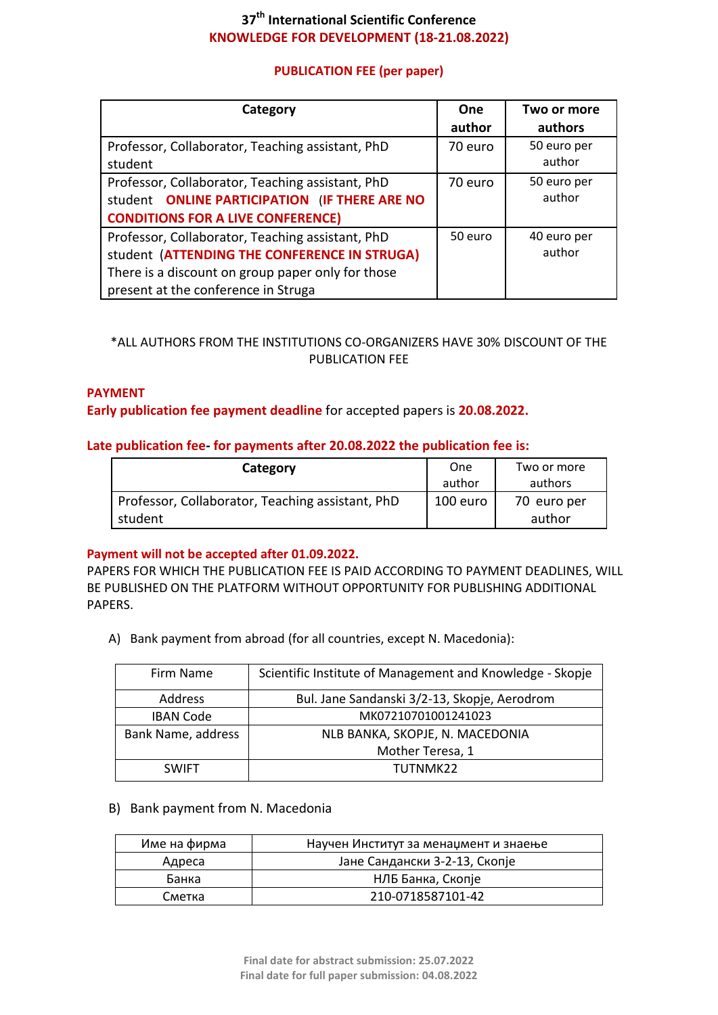## **PUBLICATION FEE (per paper)**

| Category                                          | <b>One</b> | Two or more |
|---------------------------------------------------|------------|-------------|
|                                                   | author     | authors     |
| Professor, Collaborator, Teaching assistant, PhD  | 70 euro    | 50 euro per |
| student                                           |            | author      |
| Professor, Collaborator, Teaching assistant, PhD  | 70 euro    | 50 euro per |
| student ONLINE PARTICIPATION (IF THERE ARE NO     |            | author      |
| <b>CONDITIONS FOR A LIVE CONFERENCE)</b>          |            |             |
| Professor, Collaborator, Teaching assistant, PhD  | 50 euro    | 40 euro per |
| student (ATTENDING THE CONFERENCE IN STRUGA)      |            | author      |
| There is a discount on group paper only for those |            |             |
| present at the conference in Struga               |            |             |

## \*ALL AUTHORS FROM THE INSTITUTIONS CO-ORGANIZERS HAVE 30% DISCOUNT OF THE PUBLICATION FEE

### **PAYMENT**

**Early publication fee payment deadline** for accepted papers is **20.08.2022.**

### **Late publication fee- for payments after 20.08.2022 the publication fee is:**

| Category                                         | One<br>author | Two or more<br>authors |
|--------------------------------------------------|---------------|------------------------|
| Professor, Collaborator, Teaching assistant, PhD | 100 euro      | 70 euro per            |
| student                                          |               | author                 |

### **Payment will not be accepted after 01.09.2022.**

PAPERS FOR WHICH THE PUBLICATION FEE IS PAID ACCORDING TO PAYMENT DEADLINES, WILL BE PUBLISHED ON THE PLATFORM WITHOUT OPPORTUNITY FOR PUBLISHING ADDITIONAL PAPERS.

A) Bank payment from abroad (for all countries, except N. Macedonia):

| Firm Name          | Scientific Institute of Management and Knowledge - Skopje |
|--------------------|-----------------------------------------------------------|
| Address            | Bul. Jane Sandanski 3/2-13, Skopje, Aerodrom              |
| <b>IBAN Code</b>   | MK07210701001241023                                       |
| Bank Name, address | NLB BANKA, SKOPJE, N. MACEDONIA                           |
|                    | Mother Teresa, 1                                          |
| <b>SWIFT</b>       | TUTNMK22                                                  |

### B) Bank payment from N. Macedonia

| Име на фирма | Научен Институт за менаџмент и знаење |
|--------------|---------------------------------------|
| Адреса       | Јане Сандански 3-2-13, Скопје         |
| Банка        | НЛБ Банка, Скопје                     |
| Сметка       | 210-0718587101-42                     |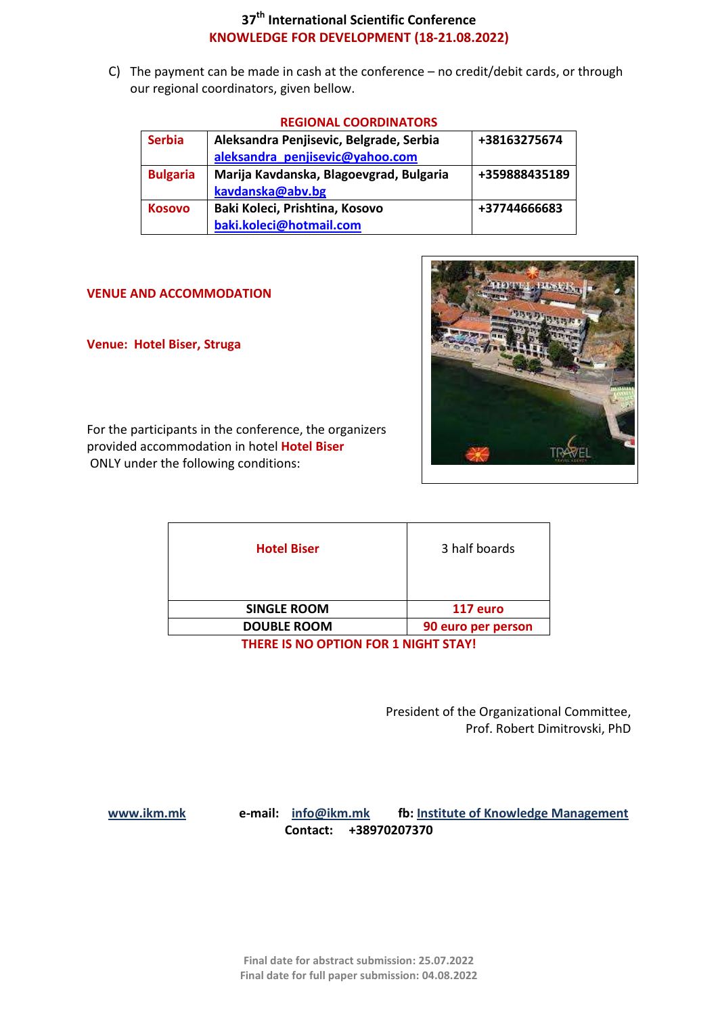C) The payment can be made in cash at the conference – no credit/debit cards, or through our regional coordinators, given bellow.

|                 | ILOIVAL COONDINATORJ                    |               |
|-----------------|-----------------------------------------|---------------|
| <b>Serbia</b>   | Aleksandra Penjisevic, Belgrade, Serbia | +38163275674  |
|                 | aleksandra penjisevic@yahoo.com         |               |
| <b>Bulgaria</b> | Marija Kavdanska, Blagoevgrad, Bulgaria | +359888435189 |
|                 | kavdanska@abv.bg                        |               |
| <b>Kosovo</b>   | Baki Koleci, Prishtina, Kosovo          | +37744666683  |
|                 | baki.koleci@hotmail.com                 |               |

## **REGIONAL COORDINATORS**

### **VENUE AND ACCOMMODATION**

**Venue: Hotel Biser, Struga**



For the participants in the conference, the organizers provided accommodation in hotel **Hotel Biser** ONLY under the following conditions:

| <b>Hotel Biser</b> | 3 half boards      |
|--------------------|--------------------|
| <b>SINGLE ROOM</b> | 117 euro           |
| <b>DOUBLE ROOM</b> | 90 euro per person |
|                    |                    |

**THERE IS NO OPTION FOR 1 NIGHT STAY!**

President of the Organizational Committee, Prof. Robert Dimitrovski, PhD

 **[www.ikm.mk](http://www.ikm.mk/) e-mail: [info@ikm.mk](mailto:info@ikm.mk) fb: Institute of Knowledge Management Contact: +38970207370**